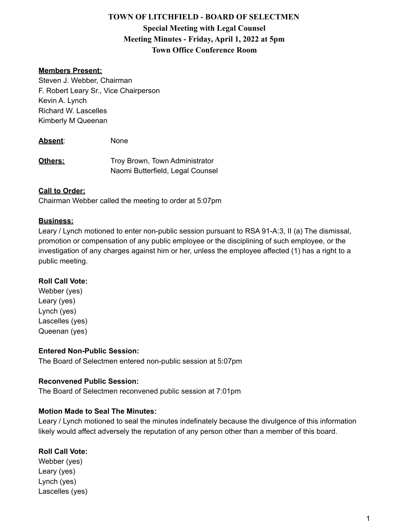# **TOWN OF LITCHFIELD - BOARD OF SELECTMEN Special Meeting with Legal Counsel Meeting Minutes - Friday, April 1, 2022 at 5pm Town Office Conference Room**

### **Members Present:**

Steven J. Webber, Chairman F. Robert Leary Sr., Vice Chairperson Kevin A. Lynch Richard W. Lascelles Kimberly M Queenan

**Absent**: None

**Others:** Troy Brown, Town Administrator Naomi Butterfield, Legal Counsel

#### **Call to Order:**

Chairman Webber called the meeting to order at 5:07pm

#### **Business:**

Leary / Lynch motioned to enter non-public session pursuant to RSA 91-A:3, II (a) The dismissal, promotion or compensation of any public employee or the disciplining of such employee, or the investigation of any charges against him or her, unless the employee affected (1) has a right to a public meeting.

#### **Roll Call Vote:**

Webber (yes) Leary (yes) Lynch (yes) Lascelles (yes) Queenan (yes)

#### **Entered Non-Public Session:**

The Board of Selectmen entered non-public session at 5:07pm

#### **Reconvened Public Session:**

The Board of Selectmen reconvened public session at 7:01pm

#### **Motion Made to Seal The Minutes:**

Leary / Lynch motioned to seal the minutes indefinately because the divulgence of this information likely would affect adversely the reputation of any person other than a member of this board.

#### **Roll Call Vote:**

Webber (yes) Leary (yes) Lynch (yes) Lascelles (yes)